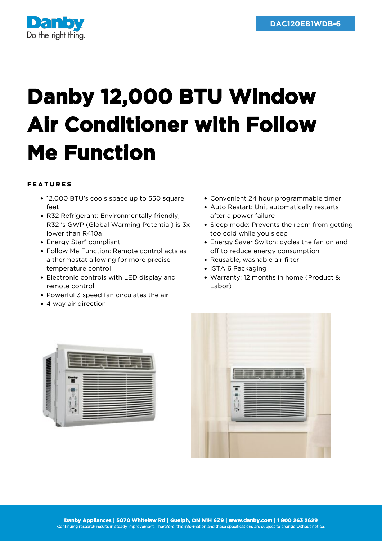

## **Danby 12,000 BTU Window Air Conditioner with Follow Me Function**

## FEATURES

- 12,000 BTU's cools space up to 550 square feet
- R32 Refrigerant: Environmentally friendly, R32 's GWP (Global Warming Potential) is 3x lower than R410a
- Energy Star® compliant
- Follow Me Function: Remote control acts as a thermostat allowing for more precise temperature control
- Electronic controls with LED display and remote control
- Powerful 3 speed fan circulates the air
- 4 way air direction
- Convenient 24 hour programmable timer
- Auto Restart: Unit automatically restarts after a power failure
- Sleep mode: Prevents the room from getting too cold while you sleep
- Energy Saver Switch: cycles the fan on and off to reduce energy consumption
- Reusable, washable air filter
- ISTA 6 Packaging
- Warranty: 12 months in home (Product & Labor)